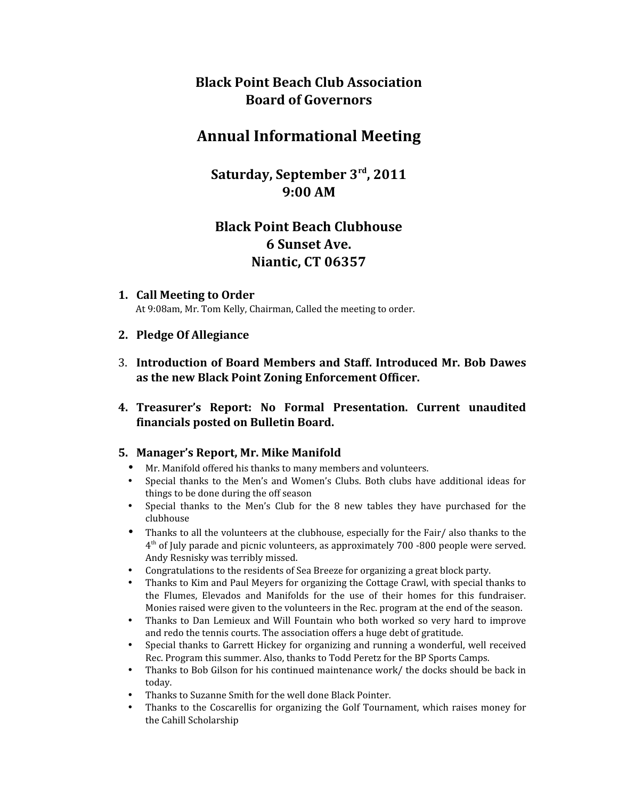# **Black Point Beach Club Association Board of Governors**

# **Annual Informational Meeting**

**Saturday, September 3rd, 2011 9:00 AM**

# **Black Point Beach Clubhouse 6 Sunset Ave. Niantic, CT 06357**

**1. Call Meeting to Order** At 9:08am, Mr. Tom Kelly, Chairman, Called the meeting to order.

### **2. Pledge Of Allegiance**

- 3. **Introduction of Board Members and Staff. Introduced Mr. Bob Dawes as the new Black Point Zoning Enforcement Officer.**
- **4. Treasurer's Report: No Formal Presentation. Current unaudited financials posted on Bulletin Board.**

#### **5. Manager's Report, Mr. Mike Manifold**

- Mr. Manifold offered his thanks to many members and volunteers.
- Special thanks to the Men's and Women's Clubs. Both clubs have additional ideas for things to be done during the off season
- Special thanks to the Men's Club for the 8 new tables they have purchased for the clubhouse
- Thanks to all the volunteers at the clubhouse, especially for the Fair/ also thanks to the  $4<sup>th</sup>$  of July parade and picnic volunteers, as approximately 700 -800 people were served. Andy Resnisky was terribly missed.
- Congratulations to the residents of Sea Breeze for organizing a great block party.
- Thanks to Kim and Paul Meyers for organizing the Cottage Crawl, with special thanks to the Flumes, Elevados and Manifolds for the use of their homes for this fundraiser. Monies raised were given to the volunteers in the Rec. program at the end of the season.
- Thanks to Dan Lemieux and Will Fountain who both worked so very hard to improve and redo the tennis courts. The association offers a huge debt of gratitude.
- Special thanks to Garrett Hickey for organizing and running a wonderful, well received Rec. Program this summer. Also, thanks to Todd Peretz for the BP Sports Camps.
- Thanks to Bob Gilson for his continued maintenance work/ the docks should be back in today.
- Thanks to Suzanne Smith for the well done Black Pointer.
- Thanks to the Coscarellis for organizing the Golf Tournament, which raises money for the Cahill Scholarship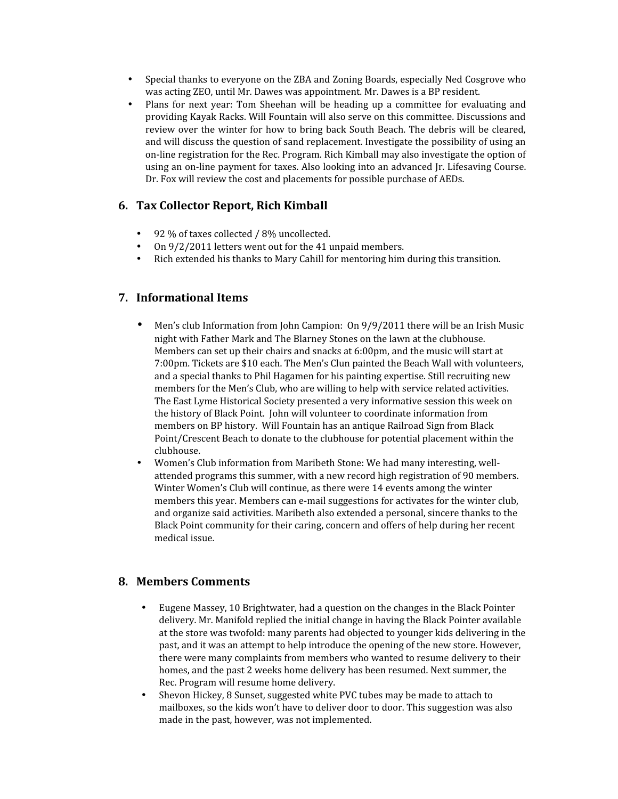- Special thanks to everyone on the ZBA and Zoning Boards, especially Ned Cosgrove who was acting ZEO, until Mr. Dawes was appointment. Mr. Dawes is a BP resident.
- Plans for next year: Tom Sheehan will be heading up a committee for evaluating and providing Kayak Racks. Will Fountain will also serve on this committee. Discussions and review over the winter for how to bring back South Beach. The debris will be cleared, and will discuss the question of sand replacement. Investigate the possibility of using an on-line registration for the Rec. Program. Rich Kimball may also investigate the option of using an on-line payment for taxes. Also looking into an advanced Jr. Lifesaving Course. Dr. Fox will review the cost and placements for possible purchase of AEDs.

## **6. Tax Collector Report, Rich Kimball**

- 92 % of taxes collected / 8% uncollected.
- On 9/2/2011 letters went out for the 41 unpaid members.
- Rich extended his thanks to Mary Cahill for mentoring him during this transition.

### **7. Informational Items**

- Men's club Information from John Campion: On 9/9/2011 there will be an Irish Music night with Father Mark and The Blarney Stones on the lawn at the clubhouse. Members can set up their chairs and snacks at 6:00pm, and the music will start at 7:00pm. Tickets are \$10 each. The Men's Clun painted the Beach Wall with volunteers, and a special thanks to Phil Hagamen for his painting expertise. Still recruiting new members for the Men's Club, who are willing to help with service related activities. The East Lyme Historical Society presented a very informative session this week on the history of Black Point. John will volunteer to coordinate information from members on BP history. Will Fountain has an antique Railroad Sign from Black Point/Crescent Beach to donate to the clubhouse for potential placement within the clubhouse.
- Women's Club information from Maribeth Stone: We had many interesting, wellattended programs this summer, with a new record high registration of 90 members. Winter Women's Club will continue, as there were 14 events among the winter members this year. Members can e-mail suggestions for activates for the winter club, and organize said activities. Maribeth also extended a personal, sincere thanks to the Black Point community for their caring, concern and offers of help during her recent medical issue.

#### **8. Members Comments**

- Eugene Massey, 10 Brightwater, had a question on the changes in the Black Pointer delivery. Mr. Manifold replied the initial change in having the Black Pointer available at the store was twofold: many parents had objected to younger kids delivering in the past, and it was an attempt to help introduce the opening of the new store. However, there were many complaints from members who wanted to resume delivery to their homes, and the past 2 weeks home delivery has been resumed. Next summer, the Rec. Program will resume home delivery.
- Shevon Hickey, 8 Sunset, suggested white PVC tubes may be made to attach to mailboxes, so the kids won't have to deliver door to door. This suggestion was also made in the past, however, was not implemented.